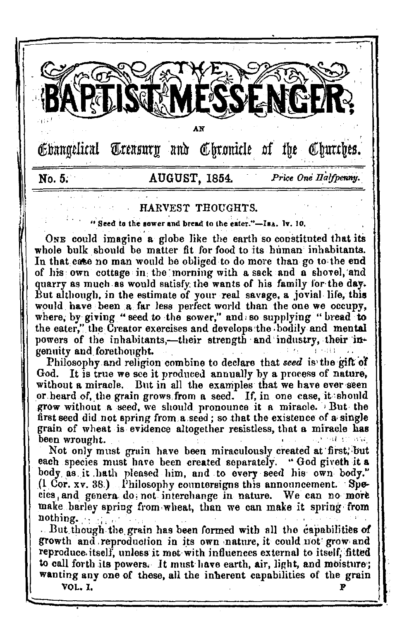

# HARVEST THOUGHTS.

"Seed to the sower and bread to the eater."-IsA, ly, 10.

ONE could imagine a globe like the earth so constituted that its whole bulk should be matter fit for food to its human inhabitants. In that case no man would be obliged to do more than go to the end of his own cottage in the morning with a sack and a shovel, and quarry as much as would satisfy the wants of his family for the day. But although, in the estimate of your real savage, a jovial life, this would have been a far less perfect world than the one we occupy, where, by giving "seed to the sower," and so supplying "bread to the eater," the Creator exercises and develops the bodily and mental powers of the inhabitants.—their strength and industry, their ingenuity and forethought.

Philosophy and religion combine to declare that seed is the gift of God. It is true we see it produced annually by a process of nature, without a miracle. But in all the examples that we have ever seen or heard of, the grain grows from a seed. If, in one case, it should grow without a seed, we should pronounce it a miracle. But the first seed did not spring from a seed; so that the existence of a single grain of wheat is evidence altogether resistless, that a miracle has been wrought.

Not only must grain have been miraculously created at first, but each species must have been created separately. "God giveth it a body as it hath pleased him, and to every seed his own body."  $(1 \text{ Cor. xv. } 38)$  Philosophy countersigns this announcement. Species, and genera do not interchange in nature. We can no more make barley spring from wheat, than we can make it spring from nothing. e, c

But though the grain has been formed with all the capabilities of growth and reproduction in its own nature, it could not grow and reproduce itself, unless it met with influences external to itself, fitted to call forth its powers. It must have earth, air, light, and moisture; wanting any one of these, all the inherent capabilities of the grain

VOL. 1.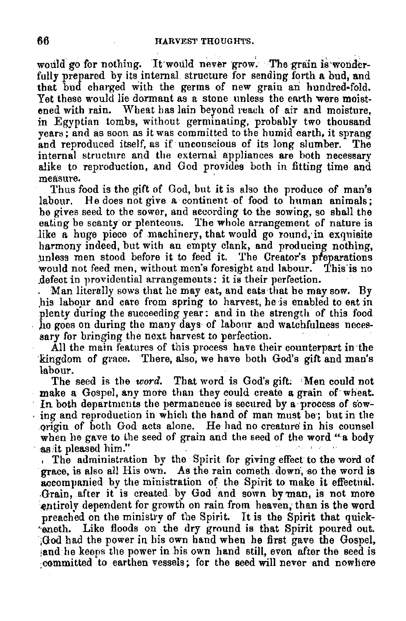would go for nothing. It would never grow. The grain is wonderfully prepared by its internal structure for sending forth a bud, and that bud charged with the germs of new grain an hundred-fold. Yet these would lie dormant as a stone unless the earth were moistened with rain. Wheat has Jain beyond reach of air and moisture, in Egyptian tombs, without germinating, probably *two* thousand years; and as soon as it was committed to the humid earth, it sprang and reproduced itself, as if unconscious of its long slumber. internal structure and the external appliances are both necessary alike to reproduction, and God provides both in fitting time and measure.

Thus food is the gift of God, but it is also the produce of man's labour. He does not give a continent of food to human animals; he gives seed to the sower, and according to the sowing, so shall the eating be scanty or plenteous. The whole arrangement of nature is like a huge piece of machinery, that would go round, in exquisite harmony indeed, but with an empty clank, and producing nothing, unless men stood before it to feed it. The Creator's preparations would not feed men, without men's foresight and labour. This is no defect in providential arrangements: it is their perfection.<br>"Man literally sows that he may eat, and eats-that he may sow. By

his labour and care from spring to harvest, he is enabled to eat in plenty during the succeeding year: and in the strength of this food ho goes on during the many days of labonr and watchfulness neces- sary for bringing the next harvest to perfection. ·

All the main features of this process have their counterpart in the kingdom of grace. There, also, we have both God's gift and man's labour.

The seed is the *word*. That word is God's gift. Men could not make a Gospel, any more than they could create a grain of wheat.<br>In both departments the permanence is secured by a process of sow- $\cdot$  ing and reproduction in which the hand of man must be; but in the .Qrigin of both God acts alone. He had no creature' in his counsel when he gave to the seed of grain and the seed of the word "a body as it pleased him."

, The administration by the Spirit for giving effect to the word of grace, is also all His own. As the rain cometh. down, so the word is accompanied by the ministration of the Spirit to make it effectual. -Grain, after it is created by God and sown by man, is not mote entirely dependent for growth on rain from heaven, than is the word preached on the ministry of the Spirit. It is the Spirit that quick-•·eneth. Like floods on the dry ground is that Spirit poured out. ;God had the power in his own hand when he first gave the Gospel, :and he keeps the power in his own hand still, even after the seed is committed to earthen vessels; for the seed will never and nowhere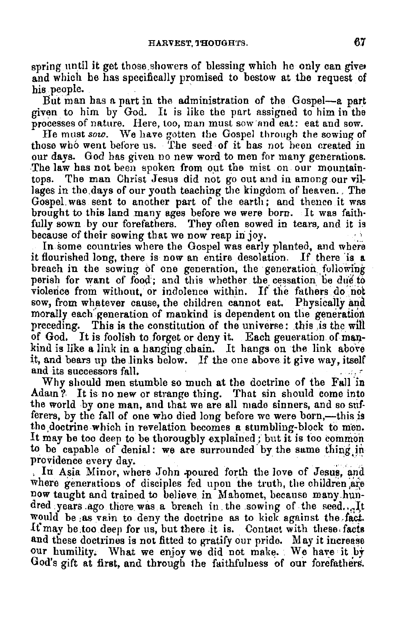spring until it get those showers of blessing which he only can give, and which be has specifically promised to bestow at the request of his people.

But man has a part in the administration of the Gospel-a part given to him by God. It is like the part assigned to him in the processes of nature. Here, too, man must sow·and eat: eat and sow.

He must *sow.* \Ve have gotten tbe Gospel through the sowing of those who went before us. The seed of it has not been created in our days. God has giveu no new word to men for many generations. The law has not been spoken from out the mist on our mountaintops. The man Christ Jesus did not go out and in among our vil~ lages in the days of our youth teaching the kingdom of heaven., The Gospel. was sent to another part of the earth; and thence it was brought to this land many ages before we were born. It was faith· fully sown by our forefathers. They often sowed in tears, and it is because of their sowing that we now reap in joy.

In some countries where the Gospel was early planted, and where it flourished long, there is now an entire desolation. If there 'is **a**  breach in the sowing of one generation, the generation following perish for want of food; and this whether the cessation be due to violence from without, or indolence within. If the fathers do not sow, from whatever cause, the children cannot eat. Physically and morally each generation of mankind is dependent on the generation preceding. This is the constitution of the universe: this is the will of God. It is foolish to forget or deny it. Each generation of mankind is like a link in a hanging chain. It hangs on the link above it, and bears up the links below. If the one above it give way, itself and its successors fall.

Why should men stumble so much at the doctrine of the Fall 'in Adam? It is no new or strange thing. That sin should come into the world by one man, and that we are all made sinners, and so sufferers, by the fall of one who died long before we were born,—this is the doctrine which in revelation becomes a stumbling-block to men.<br>It may be too deep to be thoroughly explained; but it is too common to be capable of denial: we are surrounded by the same thing in providence every day.

, In Asia Minor, where John poured forth the love of Jesus, and where generations of disciples fed upon the truth, the children are now taught and trained to believe in Mahomet, because many hundred years ago there was a breach in the sowing of the seed... It would be ,as vain to deny the doctrine as to kick against the ,fact,. It may be too deep for us, but there it is. Contact with these facts and these doctrines is not fitted to gratify our pride. May it increase our humility. What we enjoy we did not make. We have it by God's gift at first, and through the faithfulness of our forefathers.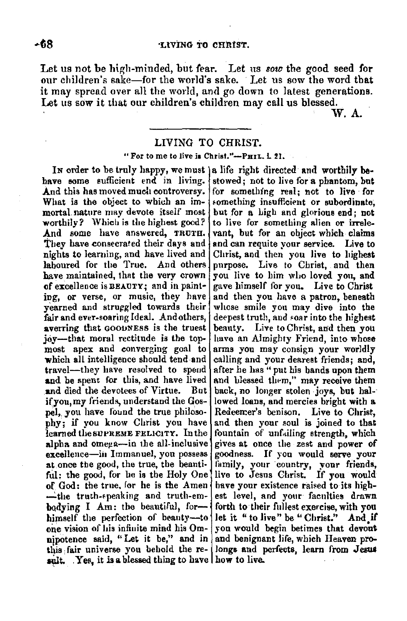Let us not be high-minded, but fear. Let us *sow* the good seed for our children's sake-for the world's sake. Let us sow the word that it may spread over all the world, and go down to latest generations. Let us sow it that our children's children may call us blessed.  $W$ . A.

## LIVING TO CHRIST.

## " For to me to live is Christ."-PHIL. L 21.

have some sufficient end in living. [stowed; not to live for a phantom, but<br>And this has moved much controversy. [for something real: not to live for And this has moved much controversy. for something real; not to live for What is the object to which an im-What is the object to which an im- something insufficient or subordinate; mortal nature may devote itself most but for a high and glorious end; not mortal nature may devote itself most but for a high and glorious end; not worthily? Which is the highest good? to live for something alien or irreleworthily? Which is the highest good? to live for something alien or irrele-<br>And some have answered, TRUTH, vant, but for an object which claims And some have answered, TRUTH. vant, but for an object which claims They have consecrated their days and and can requite your service. Live to They have consecrated their days and  $\vert$  and can requite your service. Live to highest nights to learning, and have lived and Christ, and then you live to highest nights to learning, and have lived and Christ, and then you live to highest<br>laboured for the True. And others purpose. Live to Christ, and then laboured for the True. And others purpose. Live to Christ, and then have maintained, that the very crown you live to him who loved you, and have maintained, that the very crown you live to him who loved you, and of excellence is  $BEACT$ ; and in paint- gave himself for you. Live to Christ ing, or verse, or music, they have and then you have a patron, beneath yearned and struggled towards their whose smile you may dive into the yearned and struggled towards their whose smile you may dive into the fair and ever-soaring Ideal. And others, deepest truth, and soar into the highest averring that GOODNESS is the truest beauty. Live to Christ, and then you joy---that moral rectitude is the top- have an Almighty Friend, into whose most apex and converging goal to arms you may consign your worldly most apex and converging goal to arms you may consign your worldly which all intelligence should tend and calling and your dearest friends: and. travel—they have resolved to spend after he has " put his bands upon them and be spent for this, and have lived and blessed them." may receive them **and** died the devotees of Virtue. But back, no longer stolen joys, but hal-· if you, my friends, understand the Gos- $\vert$  lowed loans, and mercies bright with a pel, you have found the true philoso- Redeemer's benison. Live to Christ, phy; if you know Christ you have and then your soul is joined to that learned the surveys represent that  $\frac{1}{2}$ learned the SUPREME FELICITY. In the fountain of unfailing strength, which aloha and omen a-in the all-inclusive gives at once the zest and nower of alpha and omega-in the all-inclusive excellence-in Immanuel, you possess goodness. If you would serve your at once the good, the true, the beanti- lamily, your country, your friends, ful; the good, for he is the Holy One live to Jesus Christ. If you would of  $God:$  the true, for he is the Amen have your existence raised to its high- $\rightarrow$ the truth-speaking and truth-em- est level, and your faculties drawn bodying I Am; the beautiful, for--{forth to their fullest exercise, with you himself the perfection of beauty--to let it "to live" be "Christ." And if himself the perfection of beanty--to let it " to live" be " Christ." And if one vision of his infinite mind his  $Om_z$  you would begin betimes that devout one vision of his infinite mind his Omnjpotence said, "Let it be," and in and benignant life, which Heaven prothis fair universe you behold the re- longs and perfects, learn from Jesus sult. Yes, it is a blessed thing to have how to live.

In order to be truly happy, we must a life right directed and worthily be-<br>have some sufficient end in living istowed; not to live for a phantom, but gave himself for you. Live to Christ deepest truth, and soar into the highest calling and your dearest friends; and, and blessed them," may receive them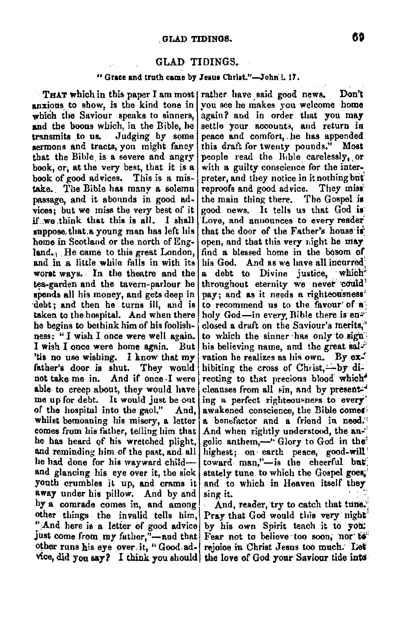## GLAD TIDINGS.

## " Grace and truth came by Jesus Christ."-John I. 17.

**THAT which in this paper I am most rather have said good news.** Don't anxious to show, is the kind tone in you see he makes you welcome home anxious to show, is the kind tone in you see he makes you welcome home  $\frac{1}{2}$  which the Saviour speaks to sinners, again? and in order that you may which the Saviour speaks to sinners, again? and in order that you may<br>and the boons which, in the Bible, he settle your accounts, and return in and the boons which, in the Bible, he settle your accounts, and return in transmits to us. Judging by some peace and comfort, he has appended sermons and tracts, you might fancy that the Bible is a severe and angry book, or, at the very best, that it is a book of good advices. This is a mistake.. The Bible has many a solemn reproofs and good ad vice. They **miss:**  passage, and it abonnds in good ad- the main thing there. The Gospel **is**  vices; but we miss the very best of it if we think that this is all. I shall if.we ,think that this is all. I shall 'Love, and announces to every reader suppose, that a young man has left his that the door of the Father's house is house is a house if the may land<sub>,<sup>1</sup></sub> He came to this great London, and in a little while falls in with its and in a little while falls in with its his God. And as we have all incurred worst ways. In the theatre and the  $|a|$  debt to Divine justice, which tea-garden and the tavern-parlour he throughout eternity we never could<sup>1</sup> spends all his money, and gets deep in pay; and as it needs a righteousness' ·debt; and then he turns ill, and is to recommend us to the favour· **of·a·•**  taken to the hospital. And when there  $\vert$  holy God-in every. Bible there is enhe begins to bethink him of his foolish- $\lceil \text{closed a draft on the Saviour's metric,} \rceil$ ness: " I wish I once were well again. to which the sinner has only to sign I wish I once were home again. But his believing name, and the great sal-'tis no use wishing. I know that my vation he realizes as his own. By  $ex^2$ father's door is shut. They would hibiting the cross of Christ,—by dime up for debt. It would just be out ing a perfect righteousness to every' of the hospital into the gaol." And, awakened conscience, the Bible comes away under his pillow. And by and sing it. by a comrade comes in, and among  $And$ , reader, try to catch that tune. othet things the invalid tells him, Pray that God would this very night "And here is a letter of good advice by his own Spirit teach it to you: just come from my father,"-and that Fear not to believe too soon, nor to other runs his eye over it, " Good ad- rejoice in Christ Jesus too much. Let

peace and comfort, he has appended this draft for twenty pounds." Most people read the Bible carelessly, or with a guilty conscience for the interpreter, and they notice in it nothing but open, and that this very night he may<br>find a blessed home in the bosom of **a** debt to Divine justice, which pay; and as it needs a righteousness' not take me in. And if once I were recting to that precions blood which<sup>\*</sup> able to creep about, they would have cleanses from all  $\sin$ , and by present. And, awakened conscience, the Bible comes whilst bemoaning his misery, a letter a benefactor and a friend in need.<sup>1</sup> comes from his father, telling him that And when rightly understood, the an-<sup>1</sup> he has heard of his wretched plight. gelic anthem.—" Glory to God in the gelic anthem,-" Glory to God in the<sup>1</sup> and reminding him of the past, and all highest; on earth peace, good-will he had done for his wayward child- toward man,"-is the cheerful but; and glancing his eye over it, the sick stately tune to which the Gospel goes; youth crumbles it up, and crams it and to which in Heaven itself they

vice, did you say? I think you should the love of God your Saviour tide into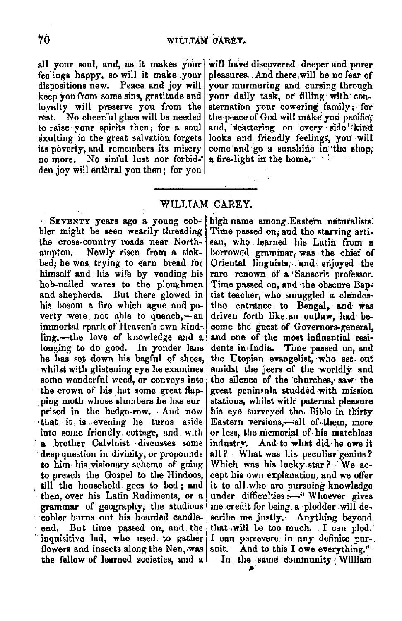feelings happy, so will it make your pleasures. And there,will be no fear of dispositions new. Peace and joy will your murmuring and cursing through keep you from some sins, gratitude and loyalty will preserve you from the loyalty will preserve you from the sternation your cowering family; for<br>rest. No cheerful glass will be needed the peace of God will make you pacific. rest. No cheerful glass will be needed the peace of God will make you pacific,<br>to raise your spirits then: for a soul and, scattering on every side kind exulting in the great salvation forgets looks and friendly feelings, you will its poverty, and remembers its misery come and go a sunshine in the shop. its poverty, and remembers its misery come and go a sunshine in' no more. No sinful lust nor forbid-• a fire-light in the home. den joy will enthral you then; for you

all your soul, and, as it makes your will have discovered deeper and purer feelings happy, so will it make your pleasures. And there will be no fear of your murmuring and cursing through your daily task, or filling with conand, scattering on every side' kind<br>looks and friendly feelings, you will

# WILLIAM CAREY.

• SEVENTY. years ago .a young eob~ bler might be seen wearily threading the cross-country roads near Northampton. Newly risen from **a** sickbed, he was trying to earn bread for himself and his wife by vending his hob-nailed wares to the ploughmen and shepherds. But there glowed in his bosom a fire which ague and poverty were, not able to quench, $-\sin$ immortal spark of Heaven's own kindling,-the love of knowledge and a longing to do good. In yonder lane he ,has set down his bagl'ul of shoes, whilst with glistening eye he examines some wonderful weed, or conveys into the crown of his hat some great flapping moth whose slumbers he has sur prised in the hedge-row. Aud now , that it **is** , evening he turns aside into some friendly cottage, and with · **a** .brother Calvinist · discusses some deep question in divinity, or propounds to him his visionary scheme of going to preach the Gospel to the Hindoos, till the household goes to bed; and then, over his Latin Rudiments, or a grammar of geography; the studious cobler burns out his hoarded eandleend. But time passed on, and the inquisitive lad, who used. to gather flowers and insects along the Nen, was the fellow of learned societies, and **a** 

high name among Eastern naturalists. Time passed- on; and the starving artisan, who learned his Latin from a borrowed grammar, was the chief of Oriental linguists, and enjoyed the rare renown ,of **a** •Sanserit professor. Time passed on, and the obscure Baptist teacher; who smuggled **a** clandestine entrance to Bengal, and was driven forth like .an outlaw, had become the guest of Governors-general, and one of the most influential resi-<br>dents in India. Time passed on, and Time passed on, and the Utopian evangelist, ·who set. out amidst the jeers of the worldly and the silence of the churches, saw the great peninsula studded with mission stations, whilst with' paternal pleasure his eye surveyed the, Bible in thirty Eastern versions,-all of them, more or less, the memorial of his matchless industrv. And to what did he owe it all ?. What was his peculiar genius? Which was his lucky star? We accept his own explanation, and we offer it to all who are pursuing.knowledge under difficulties:-" Whoever gives me credit for being, a plodder will describe me justly. Anything beyond that will be too much. I can plod. I can persevere: in any definite pur-. suit. And to this I owe everything."

In the same dommunity William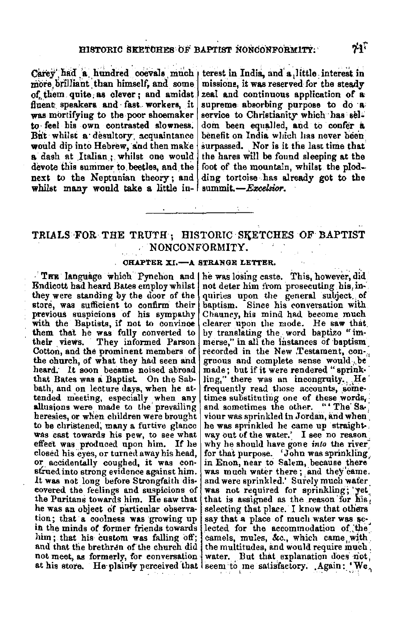Carev had a hundred coevals much terest in India, and a little interest in more brilliant than himself, and some of them quite as clever; and amidst fluent speakers and fast workers, it was mortifying to the poor shoemaker to feel his own contrasted slowness. But whilst a desultory acquaintance would dip into Hebrew, and then make a dash at Italian : whilst one would devote this summer to beetles, and the next to the Neptunian theory; and whilst many would take a little in- summit. $-Exclusion$ .

missions, it was reserved for the steady zeal and continuous application of a supreme absorbing purpose to do a service to Christianity which has seldom been equalled, and to confer a benefit on India which has never been surpassed. Nor is it the last time that the hares will be found sleeping at the foot of the mountain, whilst the plodding tortoise has already got to the

# TRIALS FOR THE TRUTH; HISTORIC SKETCHES OF BAPTIST NONCONFORMITY.

## CHAPTER XI.-A STRANGE LETTER.

Endicott had heard Bates employ whilst they were standing by the door of the store, was sufficient to confirm their previous suspicions of his sympathy with the Baptists, if not to convince them that he was fully converted to They informed Parson their views. Cotton, and the prominent members of the church, of what they had seen and heard. It soon became noised abroad that Bates was a Baptist. On the Sabbath, and on lecture days, when he attended meeting, especially when any allusions were made to the prevailing heresies, or when children were brought to be christened, many a furtive glance was cast towards his pew, to see what effect was produced upon him. If he closed his eyes, or turned away his head, or accidentally coughed, it was construed into strong evidence against him. It was not long before Strongfaith discovered the feelings and suspicions of the Puritans towards him. He saw that he was an object of particular observation; that a coolness was growing up in the minds of former friends towards him; that his custom was falling off; and that the brethren of the church did not meet, as formerly, for conversation

THE language which Pynchon and he was losing caste. This, however, did not deter him from prosecuting his inquiries upon the general subject, of bantism. Since his conversation with Chauncy, his mind had become much clearer upon the mode. He saw that by translating the word baptizo "immerse," in all the instances of baptism recorded in the New Testament, congruous and complete sense would be made; but if it were rendered "sprinkling," there was an incongruity. He frequently read those accounts, sometimes substituting one of these words, and sometimes the other. ""The Saviour was sprinkled in Jordan, and when \ he was sprinkled he came up straight. way out of the water.' I see no reason why he should have gone into the river for that purpose. 'John was sprinkling' in Enon, near to Salem, because there was much water there; and they came. and were sprinkled. Surely much water was not required for sprinkling; yet that is assigned as the reason for his, selecting that place. I know that others say that a place of much water was selected for the accommodation of the camels, mules, &c., which came with the multitudes, and would require much. water. But that explanation does not at his store. He plainly perceived that seem to me satisfactory. Again: 'We,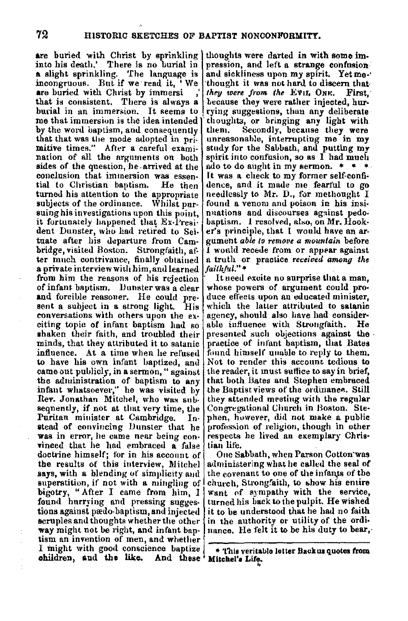**are** buried with Christ by sprinkling into his death.' There is no burial in **a** slight sprinkling. 'fhe language is incongruous. But if we read it, 'We **are buried with Christ by immersi** that is consistent. There is alway There is always a<br>rsion. It seems to burial in an immersion. me that immersion is the idea intended by the word baptism, and consequently that that was the mode adopted in primitive times." After a careful examination of all the arguments on both sides of the question, he. arrived at the conclusion that immersion was essen- tial lo Christian baptism. He then turned his attention to the appropriate subjects of the ordinance. Whilst pursuing his investigations upon this point, it fortunately happened that Ex-l'resident Dunster, who had retired to Seituate after his departure from Cambridge, visited Boston. Strongfaith, after much contrivance, finally obtained **a** private interview with him, and learned from him the reasons of his rejection of infant. baptism. Dunster was a clear and forcible reasoner. He could present a subject in a strong light. His conversations with others upon the ex• citing topic of infant baptism had so shaken their faith, and troubled their minds, that they attributed it to satanic influence. At a time when he refused to have his own infant baptized, and came out publicly, in a sermon," against the administration of baptism to any infant whatsoever," he was visited by Rev. Jonathan Mitchel, who was subsequently, if not at that very time, the Puritan minister at Cambridge. In**atead** of convincing IJnnster that he was in error, he came near being con• **Tinced** that he had embraced **a** false doctrine himself; for in his account of the results of this interview, Mitchel says, with a blending of simplicity and superstition, if not with a mingling of bigotry, "After I came from him. I found hurrying and pressing suggestions against pædo-baptism, and injected scruples and thoughts whether the other **way** might not be right, and infant baptism an invention of men, and whether I might with good conscience baptize ohildren, and the like. And these Mitchel's Life.

thoughts were darted in with some impression, and left a strange confusion and sickliness upon my spirit. Yet methought it was not hard to discern that*they were from the EviL ONK.* First, because they were rather injected, hurrying suggestions, than any deliberate thoughts, or bringing any light with<br>them. Secondly, because they were unreasonable, interrupting me in my study for the Sabbath, and putting my spirit into confusion, so as  $\overline{1}$  had much ado to do aught in my sermon.  $\overline{1}$ It was a check to my former self-confidence, and it made me fearful to go needlessly to Mr. D., for methought I found a venom and poison in his insinuations and discourses against pedobaptism. I resolved, also, on Mr. Hooker's principle, that I would have an argument *able lo remove a mountain* before I would recede from or appear against a truth or practice *received among the faitlt/'41."* •

It need excite no surprise that a man, whose powers of argument could produce effects upon an educated minister, which the latter attributed to satanic agency, should also have had considerable influence with Strongfaith. He presented such objections against the practice of infant baptism, that Bates found himself unable to reply to them. Not to render this account tedious to the reader, it must suffice to say in brief, that both Bates and Stephen embraced the Baptist views of the ordinance. Still they attended meetiug with the regular Congregational Church in Boston. Stephen, however, did not make a public profession of religion, though in other respects he lived an exemplary Christian life.

One Sabbath, when Parson Cotton·was administering what he called the **seal** of the covenant to one of the infants of the church, Strongfaith, to show his entire want of sympathy with the service. turned his back to the pulpit. He wished it to be understood that he had no faith in the authority or utility of the ordinance. He felt it to be his duty to bear,

<sup>\*</sup> This veritable letter Backus quotes from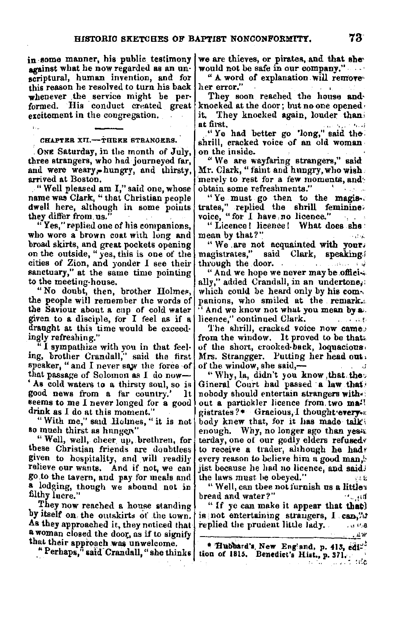in. some manner, his public testimony against what he now regarded as an unscriptural, human invention, and for this reason he resolved to turn his back her error." whenever the service might be performed. His conduct created great excitement in the congregation.

CHAPTER XII.-THEER STRANGERS.

ONE Saturday, in the month of July, three strangers, who had journeyed far, and were weary,-hungry, and thirsty, arrived at Boston.<br>"Well pleased am I." said one, whose

name was Clark, "that Christian people dwell here, although in some points they differ from. us.

"Yes," replied one of his companions, who wore a brown coat with long and<br>broad skirts, and great pockets opening on the outside, "yes, this is one of the cities of Zion, and yonder I see their sanctuary," at the same time pointing to the meeting-house.

"No doubt, then, brother Holmes, the people will remember the words of the Saviour about **a** cup of cold water given to **a** disciple, for I feel as if a draught at this time would be exceed· ingly refreshing."

I sympathize with you in that feeling, brother Crandall," said the first speaker, " and I never saw the force of that passage of Solomon as I do now-' As cold waters to **a** thirsty soul, so is good news from a far country.' It **seems to** me I never longed for **a** good drink as I do at this moment."

"With me," said .Holmes, " **it** is not **so** much thirst as hnng~n"

" Well, well, cheer. up,. brethren, for these Christian friends are donbtless given to hospitality, and will readily relieve our wants. And if not, we can go.to the tavern, and pay for meals and a lodging, though we abound not in filthy lucre."

They now reached a house standing by itself on, the outskirts of the town. As they approached it, they noticed that a woman closed the door, as if to signify that their approach **wa&** unwelcome.

" Perhaps," said Crandall, " she thinks

we are thieves, or pirates, and **that she,**  would not be safe in our company."

" A word of explanation will remove

They soon reached the house **and,**  knocked at the door; but no one opened, it. They knocked again, louder than.<br>at first.

at first.<br>"Ye had better go 'long," said the shrill, cracked voice of an old woman. on the in side.

"We are wayfaring strangers," said Mr. Clark," faint and hnngry, **who wish;**  merely to rest for a few moments, and *chain* some refreshments." obtain some refreshments."

"Ye must go then to the **magis-.**  trates," replied the shrill feminine-<br>
voice, "for I have no licence."<br>
"Licence! licence! What does she

mean by that?" 人名威

"We .are not acquainted with **your,**  magistrates," said Clark, speaking. through the door.  $\mathbb{R}^n$ 

" And we hope we never may be offici-. ally," added Crandall, in an undertone, which could be heard only by his companions, who smiled at the remark. '' And we know not what you mean **bya;.**  licence," continued Clark.  $\qquad \qquad \ldots \qquad \qquad$ 

The shrill, cracked voice now came:<br>from the window. It proved to be that. of the short, crooked-back, loquacious. Mrs. Strangger. Putting her head out, of the window, she said,- $\mathcal{L}$ 

" Why, la, didn't you know that the Gineral Court had passed a law that nobody should entertain strangers with• out a partickler licence from. two **ma!l**  gistrates?\* Gracious, I thought every. body knew that, for it has made talk'. enough. Why, no longer ago than yes: terday, one of our godly elders refused. to receive a trader, although he had; every reason to believe him a good man, jist because he had no licence, aud said; the laws must be obeyed."

"Well, can thee not furnish us **a little~**  bread and water?" ·• .. ,,rl

" If ye can make it appear that that **h is not entertaining strangers, I can,"** replied the prudent little lady.  $\cdots$ *• .uw* 

• **'81llibard'1, New ETig'a11d, p. 413, edl~! Lion of 1815.** Benedict's Hist., p. 371,  $\cdot$ .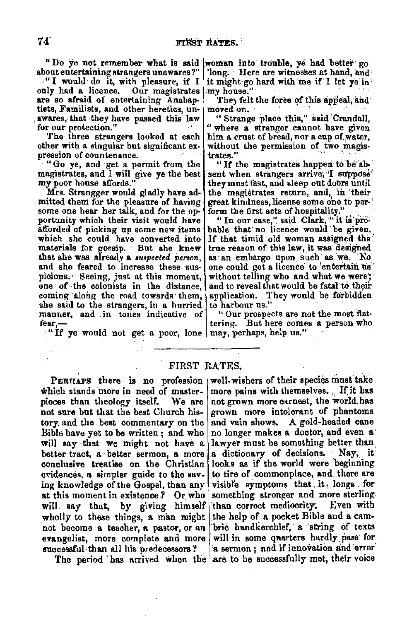about entertaining strangers unawares?"

•" I would do it, with pleasure, if I are so afraid of entertaining Anabap-<br>tists, Familists, and other heretics, unawares, that they have passed this law for our protection."

The three strangers looked at each other with a singular but significant expression of countenance.

"Go ye, and get a permit from the magistrates, and I will give ye the best<br>my poor house affords."

Mrs. Strangger would gladly have admitted them for the pleasure of having some one hear her talk, and for the opportunity which their visit would have afforded of picking up some new items which she could have converted into materials for gocsip. But she knew that she was already a *suspected person*, and she feared to increase these suspicions. Seeing, just at this moment, one of the colonists in the distance, coming along the road towards them,  $\frac{1}{2}$ she said to the strangers, in a hurried manner, and in tones indicative of fear,-

"If ye would not get a poor, lone  $\vert$  may, perhaps, help us."

"Do ye not remember what is said woman into trouble, ye had better go 'long. Here are witnesses at hand, and it might-go hard with tne if I let ye in' my house."

They felt the force of this appeal, and moved on.

"Strange place this," said Crandall, " where a stranger cannot have given him a crust of bread, nor a cup of water,<br>without the permission of two magistrates."  $\cdot$  " If the magistrates happen to be ab-

sent when strangers arrive; I suppose' they must fast, and sleep out dobrs until the magistrates return, and, in their great kindness, license some one to per-<br>form the first acts of hospitality."

"In our case," said Clark, "it is pro-<br>bable that no licence would 'be given. Jf that timid old woman assigned the' as an embargo upon such as we. No one could get a licence to 'entertain us without telling who and what we were; and to reveal that would be fatal to their application. They would be forbidden<br>to harbour us."

" Our prospects are not the most flattering. But here comes a person who

## FIRST RATES.

which stands more in need of master- more pains with themselves. If it has pieces than theology itself. We are not grown more earnest, the world has not sure but that the best Church his- grown more intolerant of phantoms tory, and the best commentary on the and vain shows. A gold-headed cane Bible have yet to be written; and who no longer makes a doctor, and even a will say that we might not have a lawyer must be something better than better tract. a better sermon, a more a dictionary of decisions. Nay, it better tract, a better sermon, a more a dictionary of decisions. Nay, it conclusive treatise on the Christian looks as if the world were beginning evidences, a simpler guide to the sav- to tire of commonplace, and there are ing knowledge of the Gospel, than any visible symptoms that it, longs for at this moment in existence  $?$  Or who something stronger and more sterling. will say that, by giving himself than correct mediocrity. Even with wholly to these things, a man might the help of a pocket Bible and a camnot become a teacher, a pastor, or an bric handkerchief, a string of texts evangelist, more complete and more will in some quarters hardly pass for successful than all his predecessors? **a** sermon; and if innovation and error

PERHAPS there is no profession well-wishers of their species must take. We are not grown more earnest, the world has The period has arrived when the are to be successfully met, their voice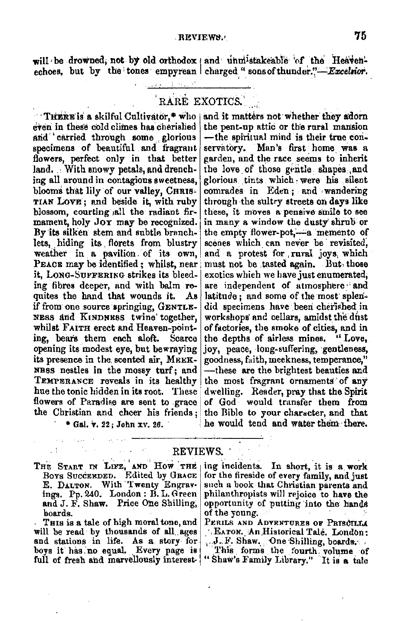will be drowned, not by old orthodox and unmistakeable of the Heavenechoes, but by the tones empyrean charged "sons of thunder."-Excelsion.

RARE EXOTICS.

THERE is a skilful Cultivator,\* who even in these cold climes has cherished and carried through some glorious specimens of beautiful and fragrant flowers, perfect only in that better land. With snowy petals, and drenching all around in contagious sweetness. blooms that lily of our valley, CHRIS-TIAN LOVE; and beside it, with ruby blossom, courting all the radiant firmament, holy Joy may be recognized. By its silken stem and subtle branchlets, hiding its florets from blustry weather in a pavilion of its own, PEACE may be identified: whilst, near it, LONG-SUFFERING strikes its bleeding fibres deeper, and with balm requites the hand that wounds it. Ав if from one source springing, GENTLE-NESS and KINDNESS twine together. whilst FAITH erect and Heaven-pointing, bears them each aloft. Scarce opening its modest eve, but bewraying its presence in the scented air. MEEK-NB8S nestles in the mossy turf: and TEMPERANCE reveals in its healthy hue the tonic hidden in its root. These flowers of Paradise are sent to grace the Christian and cheer his friends:

\* Gal. v. 22: John xv. 26.

and it matters not whether they adorn the pent-up attic or the rural mansion -the spiritual mind is their true conservatory. Man's first home was a garden, and the race seems to inherit the love of those gentle shapes and glorious tints which were his silent comrades in Eden; and wandering through the sultry streets on days like these, it moves a pensive smile to see in many a window the dusty shrub or the empty flower-pot,—a memento of scenes which can never be revisited, and a protest for rural joys which must not be tasted again. But those exotics which we have just enumerated, are independent of atmosphere and latitude: and some of the most splendid specimens have been cherished in workshops and cellars, amidst the dust of factories, the smoke of cities, and in the depths of airless mines. "Love. joy, peace, long-suffering, gentleness, goodness. faith. meekness. temperance." ---these are the brightest beauties and the most fragrant ornaments of any dwelling. Reader, pray that the Spirit of God would transfer them from the Bible to your character, and that he would tend and water them there.

## REVIEWS.

THE START IN LIFE, AND HOW THE BOYS SUCCERDED. Edited by GRACE E. DALTON. With Twenty Engravings. Pp. 240. London: B. L. Green and J. F. Shaw. Price One Shilling, boards.

THIS is a tale of high moral tone, and will be read by thousands of all ages and stations in life. As a story for boys it has no equal. Every page is full of fresh and marvellously interest-

ing incidents. In short, it is a work for the fireside of every family, and just such a book that Christian parents and philanthropists will rejoice to have the opportunity of putting into the hands of the voung.

PERILS AND ADVENTURES OF PRISCILLA EATON. An Historical Tale. London: J.F. Shaw. One Shilling, boards.<br>This forms the fourth volume of "Shaw's Family Library." It is a tale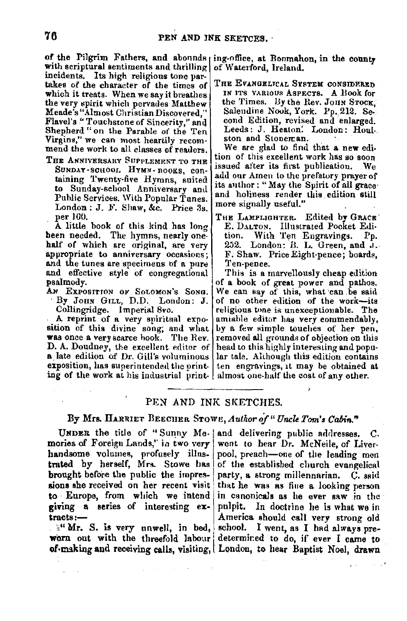of the Pilgrim Fathers, and abounds ing-office, at Bonmahon, in the county with scriptural sentiments and thrilling of Waterford, Ireland. incidents. Its high religious tone partakes of the character of the times of which it treats. When we say it breathes the very spirit which pervades Matthew Meade's "Almost Christian Discovered," Flavel's "Touchstone of Sincerity," and Shepherd "on the Parable of the Ten Virgins," we can most heartily recom• mend the work to all classes of readers.

THE ANNIVERSARY SUPPLEMENT TO THE SUNDAY-SCHOOL HYMN- nOOKS, containing Twenty-five Hymns, suited to Sunday-school Anniversary and Public Services. With Popular Tunes.  $London: J. F. Shaw, &c. Price 3s.$ per 100.

A little hook of this kind has long been needed. The hymns, nearly onehalf of which are original, are very appropriate to anniversary occasions; and the tunes are specimens of a pure and effective style of congregational psalmody.

AN EXPOSITION OF SOLOMON'S SONG. · By JOHN GrLL, D.D. London: J. Collingridge. Imperial 8vo.

A reprint of a very spiritual exposition of this divine song; and what **was** once **a** very scarce hook. The Rev. D. A. Doudney, the excellent editor of **a** late edition of Dr. Gill's voluminous exposition, has superintended the printing of the work at his industrial print• almost one-half the cost of any other.

THE EVANGELICAL SYSTEM CONSIDERED IN JTS VARIOUS ASPECTS, A llook **for**  the Times. By the Rev. JOHN STOCK, Saleudine Nook, York. Pp. 212. Second Edition, revised and enlarged. Leeds: J. Heaton: London: Houl-. ston and Stoneman.

We are glad to find that **a new** edition ol' this excellent work has so soon issued after its first publication. We add our Amen lo the prefatory prayer of its author; "May the Spirit of all grace and holiness render this edition still more signally useful."

THE LAMPLIGHTER. Edited **by** GRACE· E. DALTON. Illustrated Pocket Edi-<br>tion. With Ten Engravings. Pp. With Ten Engravings. Pp. 252. London: B. L. Green, **and** J. F. Shaw. Price Eight-pence; boards, Ten-pence.

This is **a** marvellously cheap edition of **a** book of great power and pathos. We can say of this, what can be said of no other edition of the work-its religious tone is unexceptionable. The amiable editor has very commendably, by **a** few simple touches of her pen, removed **all** grounds of objection on this head to this highly interesting and popn• lar tale. Although this edition contains ten engravings, 11 may be obtained at

## PEN AND INK SKETCHES.

# By Mrs. HARRIET BEECHER STOWE, *Author of* "Uncle Tom's Cabin."

mories of Foreign Lands," in two very went to hear Dr. McNeile, of Liverhandsome volumes, profusely illustrated by herself, Mrs. Stowe has brought before the public the impressions she received on her recent visit to Europe, from which we intend giving a series of interesting ex $t$ racts :-

:," Mr. S. **is** very unwell, in bed,

UNDER the title of "Sunny Me-|and delivering public addresses. C. worn out with the threefold labour determined to do, if ever I came to of making and receiving calls, visiting, London, to hear Baptist Noel, drawn pool, preach-one of the leading men of the established church evangelical party, a strong millennarian. C. said that he was as fine a looking person in canonicals as he ever saw in the pulpit. In doctrine he is what we in America should call very strong old school. I went, as I had always pre-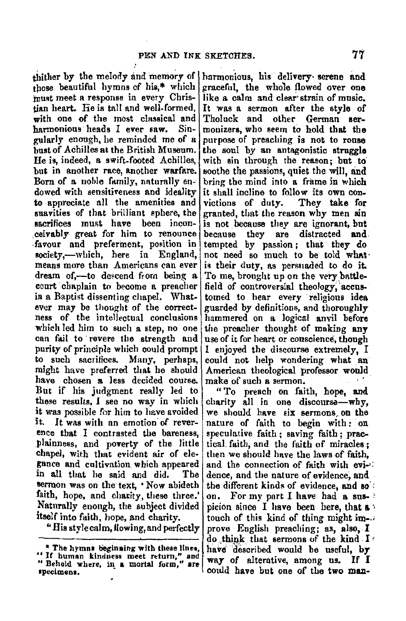those beautiful hymns of his.\* which must meet a response in every Christian heart. Fie is tall and well-formed. with one of the most classical and harmonious heads I ever saw. Singularly enough, he reminded me of a hust of Achilles at the British Museum. He is, indeed, a swift-footed Achilles, but in another race another warfare. Born of a noble family, naturally endowed with sensitiveness and ideality to appreciate all the amenities and suavities of that brilliant sphere the sacrifices must have been inconceivably great for him to renounce favour and preferment, position in society,--which, here in England. means more than Americans can ever dream of,-to descend from being a court chaplain to become a preacher in a Baptist dissenting chapel. Whatever may be thought of the correctness of the intellectual conclusions which led him to such a step, no one can fail to revere the strength and purity of principle which could prompt to such sacrifices. Many, perhaps, might have preferred that he should have chosen a less decided course. But if his judgment really led to these results. I see no way in which it was possible for him to have avoided it. It was with an emotion of reverence that I contrasted the bareness. plainness, and poverty of the little chapel, with that evident air of elegance and cultivation which appeared in all that he said and did. The sermon was on the text, 'Now abideth faith, hope, and charity, these three.' Naturally enough, the subject divided itself into faith, hope, and charity.

"His style calm, flowing, and perfectly

thither by the melody and memory of harmonious, his delivery serene and graceful, the whole flowed over one like a calm and clear strain of music. It was a sermon after the style of Tholuck and other German sermonizers, who seem to hold that the purpose of preaching is not to rouse the soul by an antagonistic struggle with sin through the reason; but to soothe the passions, quiet the will, and bring the mind into a frame in which it shall incline to follow its own convictions of duty. They take for granted, that the reason why men sin is not because they are ignorant, but because they  $are$ distracted and tempted by passion; that they do not need so much to be told what is their duty, as persuaded to do it. To me, brought up on the very battlefield of controversial theology, accustomed to hear every religious idea guarded by definitions, and thoroughly hammered on a logical anvil before the preacher thought of making any use of it for heart or conscience, though I enjoyed the discourse extremely. I could not help wondering what an American theological professor would make of such a sermon.

> "To preach on faith, hope, and charity all in one discourse-why. we should have six sermons on the nature of faith to begin with; on speculative faith; saving faith; practical faith, and the faith of miracles: then we should have the laws of faith. and the connection of faith with evidence, and the nature of evidence, and the different kinds of evidence, and so For my part I have had a suson. picion since I have been here, that  $\mathbf{a}$ touch of this kind of thing might improve English preaching: as also. I do think that sermons of the kind I have described would be useful, by way of alterative, among us. If I could have but one of the two man-

<sup>\*</sup> The hymns beginning with these lines, "If human kindness meet return," and "Behold where, in a mortal form," are specimens.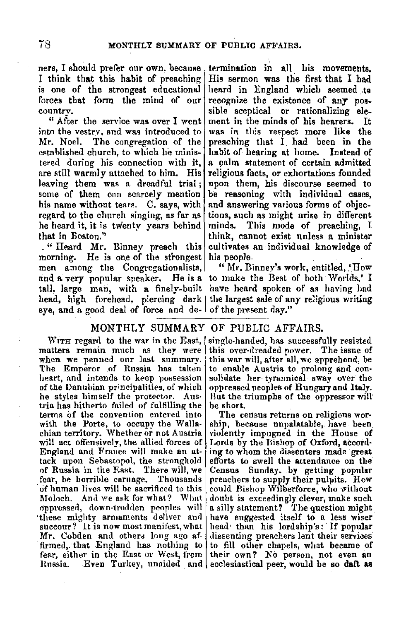ners, I should prefer our own, because I think that this habit of preaching is one of the strongest educational forces that form the mind of our country.

" After the service was over I went into the vestrv, and was introduced to Mr. Noel. The congregation of the established church, to which he ministered during his connection with it, are still warmly attached to him. His leaving them was n. dreadful trial ; some of them can scarcely mention his name without tears. C. says, with regard to the church singing, as far as he heard it, it is twenty years behind that in Roston."

. " Heard Mr. Binney preach this morning. He is one of the strongest men among the Congregationalists, and a very popular speaker. He is a tall, large man, with a finely-built head, high forehead, piercing dark eye, and a good deal of force and de-

termination in all his movements. His sermon was the first that I had heard in England which seemed to recognize the existence of any possible sceptical or rationalizing ele-<br>ment in the minds of his hearers. It was in this respect more like the preaching that I. had been in the habit of hearing at home. Instead of a calm statement of certain admitted religious facts, or exhortations founded upon them, his discourse seemed to be reasoning with individual cases, and answering various forms of objections, such as might arise in different minds. This mode of. preaching, I think, cannot exist unless a minister cultivates an individual knowledge of his people.

" Mr. Binney's work, entitled,  $'$ How to make the Best of both Worlds,' I have heard spoken of as having had the largest sale of any religious writing of the present day."

# MONTHLY SUMMARY OF PUBLIC AFFAIRS.

WITH regard to the war in the East. matters remain much as they were when we penned our last summary. The Emperor of Russia has taken heart, and intends to keep possession of the Dannbian principalities, of which he styles himself the protector. Aus-<br>tria has hitherto failed of fulfilling the terms of the convention entered into with the Porte, to occupy the Wallachian territory. Whether or not Austria will act offensively, the allied forces of England and France will make an attack upon Sebastopol, the stronghold of Russia in the F.ast. There will, we fear, be horrible caruage. Thousands of human lives will be sacrificed to this Moloch. And we ask for what? What oppressed, down-trodden peoples will these mighty armaments deliver and succour? It is now most manifest, what Mr. Cobden and others long ago affirmed, that England has nothing to fear, either in the East or West, from Hnssia. Even Turkey, unaided and ecclesiastical peer, would be so **daft as** 

single-handed, has successfully resisted this over-dreaded power. The issue of this war will, after all, we apprehend, be to enable Austria to prolong and consolidate her tyrannical sway over the oppressed peoples of Hungary and Italy. Hut the triumphs of the oppressor will' be short.

The census returns on religious wor-<br>ship, because unpalatable, have been. violently impugned in the House of Lords by the Bishop of Oxford, according to whom the dissenters made great efforts to swell the attendance on tlie· Census Sunday, by getting popular preachers to supply their pulpits. How could Bishop Wilberforce, who without donht is exceedingly clever, make such a silly statement? The question might have suggested itself to a less wiser head than his lordship's: If popular dissenting preachers lent their services to fill other chapels, what became of their own? No person, not even an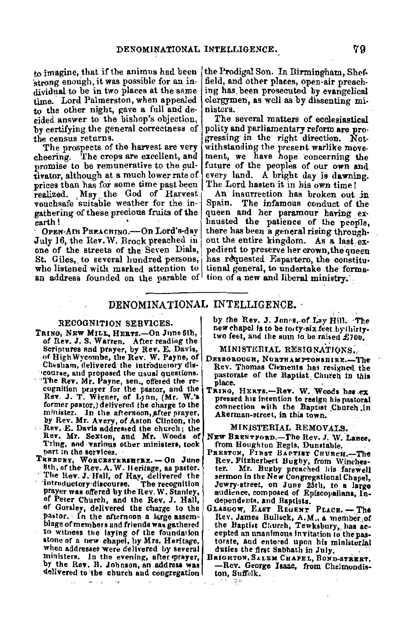to imagine, that if the animus had been ·strong enough, it was possible for an individual to be in two places at the same time. Lord Palmerston, when appealed to the other night, gave a full and decided answer to the bishop's objection, by certifying the general correctness of the census returns.

The prospects of the harvest are very<br>cheering. The crops are excellent, and The crops are excellent, and promise to be remunerative to the cultivator, although at a much lower rate of prices than has for some time past been realized. May the God of Harvest<br>vouchsafe suitable weather for the ingathering of these precious fruits of the

OPEN-AIR PREACHING.-On Lord's-day July 16, the Rev. W. Brock preached in one of the streets of the Seven Dials, St. Giles, to several hundred persons,<br>who listened with marked attention to an address founded on the parable of

the Prodigal Son. In Birmingham, Shef• field, and other places, open-air preaching has, been prosecuted by evangelical clergymen, as well as by dissenting ministers.

The several matters of ecclesiastical polity and parliamentary reform are progressing in the right direction. Notwithstanding the present warlike movement, we have hope concerning the future of the peoples of our own and every land. A bright day is dawning. The Lord hasten it in his own time!

An insurrection has broken out in<br>Spain. The infamous conduct of the The infamous conduct of the queen and her paramour having ex• liausted the patience of the people, there has been a general rising through• out the entire kingdom. As a last expedient to preserve her crown, the queen has requested Espartero, the constitutional general, to undertake the formation of a new and liberal ministry.

# DENOMINATIONAL INTELLIGENCE.·

### RECOGNITJON SERVICES,

- TRING, NEW MILL, HERTS.-On June 6th, of Rev. J. S. Warren. After reading the<br>Scriptures and prayer, by Rev. E. Davis, of High Wycombe, the Rev. W. Payne, of Chesham, delivered the introductory dis-
- course, and proposed the usual questions.<br>The Rev. Mr. Payne, sen., offered the recognition prayer for the pastor, and the Rev. J. T. Wigner, of Lynn, (Mr. W.'s former pastor,) delivered the charge to the minister. In the afternoon, after prayer,<br>by Rev. Mr. Avery, of Aston Clinton, the
- Rev. E. Davis addressed the church; the Rev. Mr. Sexton, and **Mr,** Woods of Tring, and various other ministers, took part in the services.
- TREBURY, WORCESTERSHTRE. On June 8th, of the Rev. A. W. Heritage, as pastor. The Rev. J. Hall, of Hay, delivered the<br>introductory discourse. The recognition prayer was offered by the'Rev. W. Stanley, of Peter Church, and the Rev. J. Hall, of Gorsley, delivered the charge to the<br>pastor. In the afternoon a large assemblage of members and friends was gathered to witness the laying of the foundation stone of a new chapel, by Mrs. Heritage, when addresses were delivered by several ministers. In the evening, after prayer,<br>by the Rev. B. Johnson, an address was delivered to the church and congregation!

by the Rev. **J. Jones, of Lay Hill.** The new chapel is to be forty-six feet.bythirty-<br>two feet, and the sum to be raised £100,

#### MINISTERIAL RESIGNATIONS.

- DESBOROUGH, NORTHAMPTONSHIRE.-The Rev. Thomas Clements has resigned the pastorate of the Baptist Church in this<br>place.
- TRING. HERTS.-Rev. W. Woods has ex pressed his intention to resign his pastoral connection with the Baptist Church in Akerman-street, in this town.

#### MINISTERIAL REMOVALS,

- NEW BRENTPORD.-The Rev. J. W. **Lance,**
- PRESTON, FIRST BAPTIST CHURCH.--The<br>Rev. Fitzherbert Bughy, from Winchester. Mr. Bugby preached his farewell<br>sermon in the New Congregational Chapel, Jewry-street, on June 25th, to a large<br>audience, composed of Episcopalians, Independents, and Baptists.
- GLASGOW, EAST REGENT PLACE. The Rev. James Bullock, A.M., a member.of<br>the Baptist Claurch, Tewksbury, has ac-<br>cepted an unanimous invitation to the pastorate, and entered upon his ministerial<br>duties the first Sabbath in July.
- BRIGHTON, SALEM CHAPEL, BOND-STREET. -Rev. George **Isaac,** from Chelmondis- ton, Suffolk.